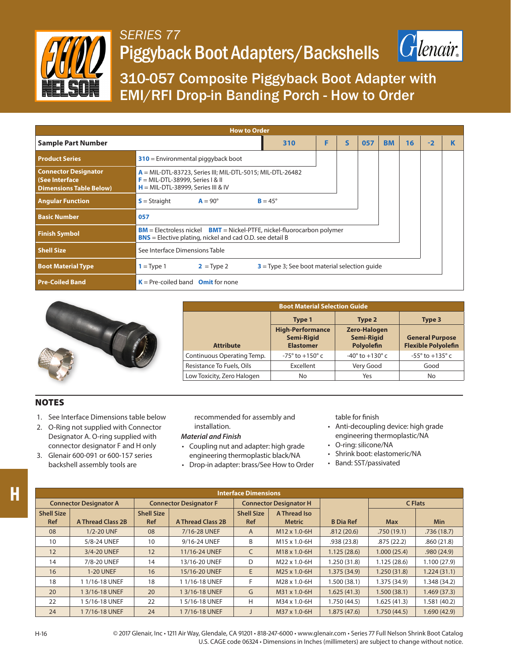

## *SERIES 77* Piggyback Boot Adapters/Backshells



310-057 Composite Piggyback Boot Adapter with EMI/RFI Drop-in Banding Porch - How to Order

| <b>How to Order</b>                                                                   |                                                                                                                                               |   |              |     |           |    |      |  |  |
|---------------------------------------------------------------------------------------|-----------------------------------------------------------------------------------------------------------------------------------------------|---|--------------|-----|-----------|----|------|--|--|
| <b>Sample Part Number</b>                                                             | 310                                                                                                                                           | F | $\mathsf{s}$ | 057 | <b>BM</b> | 16 | $-2$ |  |  |
| <b>Product Series</b>                                                                 | $310$ = Environmental piggyback boot                                                                                                          |   |              |     |           |    |      |  |  |
| <b>Connector Designator</b><br><b>See Interface</b><br><b>Dimensions Table Below)</b> | $A = MIL-DTL-83723$ , Series III; MIL-DTL-5015; MIL-DTL-26482<br>$F = MIL-DTL-38999$ , Series I & II<br>$H = MIL-DTL-38999$ , Series III & IV |   |              |     |           |    |      |  |  |
| <b>Angular Function</b>                                                               | $S =$ Straight<br>$A = 90^\circ$<br>$B = 45^\circ$                                                                                            |   |              |     |           |    |      |  |  |
| <b>Basic Number</b>                                                                   | 057                                                                                                                                           |   |              |     |           |    |      |  |  |
| <b>Finish Symbol</b>                                                                  | $BM =$ Electroless nickel $BMT =$ Nickel-PTFE, nickel-fluorocarbon polymer<br><b>BNS</b> = Elective plating, nickel and cad O.D. see detail B |   |              |     |           |    |      |  |  |
| <b>Shell Size</b>                                                                     | See Interface Dimensions Table                                                                                                                |   |              |     |           |    |      |  |  |
| <b>Boot Material Type</b>                                                             | $3$ = Type 3; See boot material selection quide<br>$1 = Type 1$<br>$2 = Type 2$                                                               |   |              |     |           |    |      |  |  |
| <b>Pre-Coiled Band</b>                                                                | $K = Pre-coiled band$ Omit for none                                                                                                           |   |              |     |           |    |      |  |  |



| <b>Boot Material Selection Guide</b> |                                                                                                                            |                                   |                                                      |  |  |  |
|--------------------------------------|----------------------------------------------------------------------------------------------------------------------------|-----------------------------------|------------------------------------------------------|--|--|--|
|                                      | Type 1                                                                                                                     | Type 2                            | Type 3                                               |  |  |  |
| <b>Attribute</b>                     | <b>High-Performance</b><br><b>Zero-Halogen</b><br><b>Semi-Rigid</b><br><b>Semi-Rigid</b><br>Polyolefin<br><b>Elastomer</b> |                                   | <b>General Purpose</b><br><b>Flexible Polyolefin</b> |  |  |  |
| Continuous Operating Temp.           | $-75^\circ$ to $+150^\circ$ c                                                                                              | $-40^{\circ}$ to $+130^{\circ}$ c | $-55^{\circ}$ to $+135^{\circ}$ c                    |  |  |  |
| Resistance To Fuels, Oils            | Excellent                                                                                                                  | Very Good                         | Good                                                 |  |  |  |
| Low Toxicity, Zero Halogen           | No                                                                                                                         | Yes                               | No                                                   |  |  |  |

## **NOTES**

- 1. See Interface Dimensions table below
- 2. O-Ring not supplied with Connector Designator A. O-ring supplied with connector designator F and H only
- 3. Glenair 600-091 or 600-157 series backshell assembly tools are

recommended for assembly and installation.

## *Material and Finish*

- Coupling nut and adapter: high grade engineering thermoplastic black/NA
- Drop-in adapter: brass/See How to Order

table for finish

- Anti-decoupling device: high grade engineering thermoplastic/NA
- O-ring: silicone/NA
- Shrink boot: elastomeric/NA
- Band: SST/passivated

| <b>Interface Dimensions</b>     |                          |                                 |                          |                                 |                               |                  |                |              |  |
|---------------------------------|--------------------------|---------------------------------|--------------------------|---------------------------------|-------------------------------|------------------|----------------|--------------|--|
| <b>Connector Designator A</b>   |                          | <b>Connector Designator F</b>   |                          | <b>Connector Designator H</b>   |                               |                  | <b>C</b> Flats |              |  |
| <b>Shell Size</b><br><b>Ref</b> | <b>A Thread Class 2B</b> | <b>Shell Size</b><br><b>Ref</b> | <b>A Thread Class 2B</b> | <b>Shell Size</b><br><b>Ref</b> | A Thread Iso<br><b>Metric</b> | <b>B</b> Dia Ref | <b>Max</b>     | <b>Min</b>   |  |
| 08                              | 1/2-20 UNF               | 08                              | 7/16-28 UNEF             | A                               | $M12 \times 1.0 - 6H$         | .812(20.6)       | .750(19.1)     | .736(18.7)   |  |
| 10                              | 5/8-24 UNEF              | 10                              | 9/16-24 UNEF             | B                               | M15 x 1.0-6H                  | .938(23.8)       | .875(22.2)     | .860(21.8)   |  |
| 12                              | 3/4-20 UNEF              | 12                              | 11/16-24 UNEF            | C                               | M18 x 1.0-6H                  | 1.125(28.6)      | 1.000(25.4)    | .980(24.9)   |  |
| 14                              | 7/8-20 UNEF              | 14                              | 13/16-20 UNEF            | D                               | M22 x 1.0-6H                  | 1.250 (31.8)     | 1.125(28.6)    | 1.100(27.9)  |  |
| 16                              | <b>1-20 UNEF</b>         | 16                              | 15/16-20 UNEF            | E                               | M25 x 1.0-6H                  | 1.375 (34.9)     | 1.250(31.8)    | 1.224(31.1)  |  |
| 18                              | 11/16-18 UNEF            | 18                              | 11/16-18 UNEF            | F                               | M28 x 1.0-6H                  | 1.500 (38.1)     | 1.375 (34.9)   | 1.348 (34.2) |  |
| 20                              | 1 3/16-18 UNEF           | 20                              | 1 3/16-18 UNEF           | G                               | M31 x 1.0-6H                  | 1.625(41.3)      | 1.500(38.1)    | 1.469(37.3)  |  |
| 22                              | 15/16-18 UNEF            | 22                              | 5/16-18 UNEF             | H                               | M34 x 1.0-6H                  | 1.750 (44.5)     | 1.625(41.3)    | 1.581 (40.2) |  |
| 24                              | 17/16-18 UNEF            | 24                              | 17/16-18 UNEF            |                                 | M37 x 1.0-6H                  | 1.875(47.6)      | 1.750(44.5)    | 1.690 (42.9) |  |

© 2017 Glenair, Inc • 1211 Air Way, Glendale, CA 91201 • 818-247-6000 • www.glenair.com • Series 77 Full Nelson Shrink Boot Catalog U.S. CAGE code 06324 • Dimensions in Inches (millimeters) are subject to change without notice.